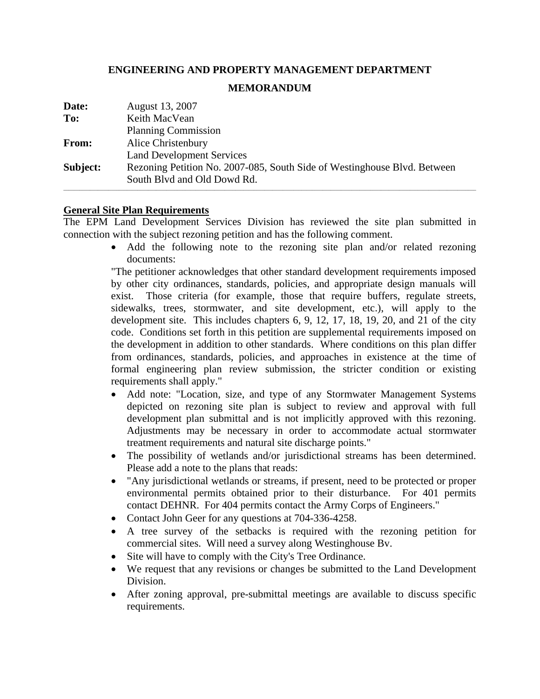## **ENGINEERING AND PROPERTY MANAGEMENT DEPARTMENT**

## **MEMORANDUM**

| Date:    | August 13, 2007                                                          |
|----------|--------------------------------------------------------------------------|
| To:      | Keith MacVean                                                            |
|          | <b>Planning Commission</b>                                               |
| From:    | Alice Christenbury                                                       |
|          | <b>Land Development Services</b>                                         |
| Subject: | Rezoning Petition No. 2007-085, South Side of Westinghouse Blvd. Between |
|          | South Blvd and Old Dowd Rd.                                              |
|          |                                                                          |

## **General Site Plan Requirements**

The EPM Land Development Services Division has reviewed the site plan submitted in connection with the subject rezoning petition and has the following comment.

> • Add the following note to the rezoning site plan and/or related rezoning documents:

> "The petitioner acknowledges that other standard development requirements imposed by other city ordinances, standards, policies, and appropriate design manuals will exist. Those criteria (for example, those that require buffers, regulate streets, sidewalks, trees, stormwater, and site development, etc.), will apply to the development site. This includes chapters 6, 9, 12, 17, 18, 19, 20, and 21 of the city code. Conditions set forth in this petition are supplemental requirements imposed on the development in addition to other standards. Where conditions on this plan differ from ordinances, standards, policies, and approaches in existence at the time of formal engineering plan review submission, the stricter condition or existing requirements shall apply."

- Add note: "Location, size, and type of any Stormwater Management Systems depicted on rezoning site plan is subject to review and approval with full development plan submittal and is not implicitly approved with this rezoning. Adjustments may be necessary in order to accommodate actual stormwater treatment requirements and natural site discharge points."
- The possibility of wetlands and/or jurisdictional streams has been determined. Please add a note to the plans that reads:
- "Any jurisdictional wetlands or streams, if present, need to be protected or proper environmental permits obtained prior to their disturbance. For 401 permits contact DEHNR. For 404 permits contact the Army Corps of Engineers."
- Contact John Geer for any questions at 704-336-4258.
- A tree survey of the setbacks is required with the rezoning petition for commercial sites. Will need a survey along Westinghouse Bv.
- Site will have to comply with the City's Tree Ordinance.
- We request that any revisions or changes be submitted to the Land Development Division.
- After zoning approval, pre-submittal meetings are available to discuss specific requirements.